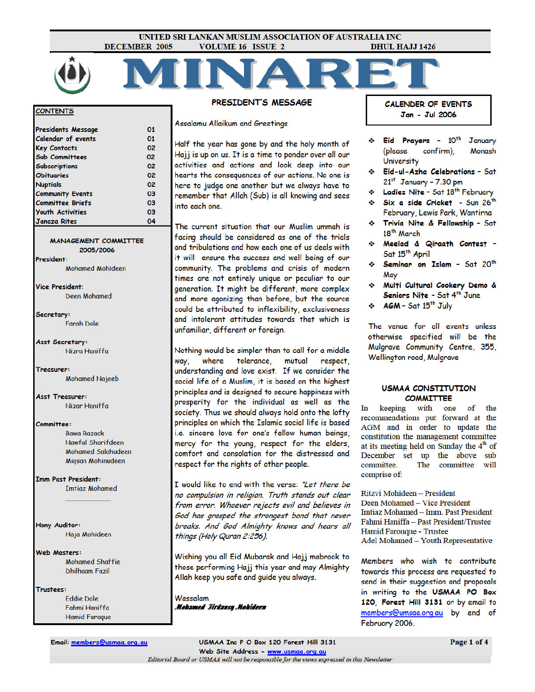#### UNITED SRI LANKAN MUSLIM ASSOCIATION OF AUSTRALIA INC **DECEMBER 2005 VOLUME 16 ISSUE 2 DHUL HAJJ 1426**



#### **ONTENTS**

| <b>Janaza Rites</b>       | 04 |
|---------------------------|----|
| <b>Youth Activities</b>   | 03 |
| <b>Committee Briefs</b>   | 03 |
| <b>Community Events</b>   | 03 |
| <b>Nuptials</b>           | 02 |
| <b>Obituaries</b>         | 02 |
| <b>Subscriptions</b>      | 02 |
| <b>Sub Committees</b>     | 02 |
| <b>Key Contacts</b>       | 02 |
| <b>Calendar of events</b> | 01 |
| <b>Presidents Message</b> | 01 |

**MANAGEMENT COMMITTEE** 2005/2006 President:

**Mohamed Mohideen** 

**Vice President: Deen Mohamed** 

Secretary: **Farah Dole** 

Asst Secretary: Nizra Haniffa

Treasurer: **Mohamed Najeeb** 

**Asst Treasurer:** Nizar Haniffa

Committee:

**Rawa Razack** Nawfal Sharifdeen **Mohamed Salahudeen** Migsan Mohinudeen

**Imm Past President: Imtiaz Mohamed** 

Hony Auditor: Haja Mohideen

**Web Masters: Mohamed Shaffie Dhilhaam Fazil** 

Trustees: **Eddie** Dole Fahmi Haniffa **Hamid Faroque**  PRESIDENT'S MESSAGE

**Assalamu Allaikum and Greetings** 

Half the year has gone by and the holy month of Hajj is up on us. It is a time to ponder over all our activities and actions and look deep into our hearts the consequences of our actions. No one is here to judge one another but we always have to remember that Allah (Sub) is all knowing and sees into each one.

The current situation that our Muslim ummah is facing should be considered as one of the trials and tribulations and how each one of us deals with it will ensure the success and well being of our community. The problems and crisis of modern times are not entirely unique or peculiar to our generation. It might be different, more complex and more agonizing than before, but the source could be attributed to inflexibility, exclusiveness and intolerant attitudes towards that which is unfamiliar, different or foreign.

Nothing would be simpler than to call for a middle where tolerance, mutual respect, way, understanding and love exist. If we consider the social life of a Muslim, it is based on the highest principles and is designed to secure happiness with prosperity for the individual as well as the society. Thus we should always hold onto the lofty principles on which the Islamic social life is based i.e. sincere love for one's fellow human beings, mercy for the young, respect for the elders, comfort and consolation for the distressed and respect for the rights of other people.

I would like to end with the verse: "Let there be no compulsion in religion. Truth stands out clear from error. Whoever rejects evil and believes in God has grasped the strongest bond that never breaks. And God Almighty knows and hears all things (Holy Quran 2:256).

Wishing you all Eid Mubarak and Hajj mabrook to those performing Hajj this year and may Almighty Allah keep you safe and guide you always.

Wassalam Mohamed Jirdansy Mohideen **CALENDER OF EVENTS** Jan - Jul 2006

- Eid Prayers 10<sup>th</sup> **January** (please Monash confirm). **University**
- Eid-ul-Azha Celebrations Sat  $21<sup>st</sup>$  January - 7.30 pm
- Ladies Nite Sat 18th February
- Six a side Cricket Sun 26<sup>th</sup> February, Lewis Park, Wantirna
- \* Trivia Nite & Fellowship Sat 18<sup>th</sup> March
- \* Meelad & Qiraath Contest -Sat 15<sup>th</sup> April
- Seminar on Islam Sat 20th May
- Multi Cultural Cookery Demo & de 1 Seniors Nite - Sat 4th June
- $\div$  AGM Sat 15<sup>th</sup> July

The venue for all events unless otherwise specified will be the Mulgrave Community Centre, 355, Wellington road, Mulgrave

#### **USMAA CONSTITUTION COMMITTEE**

In keeping with one of the recommendations put forward at the AGM and in order to update the constitution the management committee at its meeting held on Sunday the  $4<sup>th</sup>$  of December set up the above sub committee. The committee will comprise of:

Ritzvi Mohideen - President Deen Mohamed - Vice President Imtiaz Mohamed - Imm. Past President Fahmi Haniffa - Past President/Trustee Hamid Farouque - Trustee Adel Mohamed - Youth Representative

Members who wish to contribute towards this process are requested to send in their suggestion and proposals in writing to the USMAA PO Box 120, Forest Hill 3131 or by email to members@umsaa.org au by end of February 2006.

Email: members@usmaa.org.au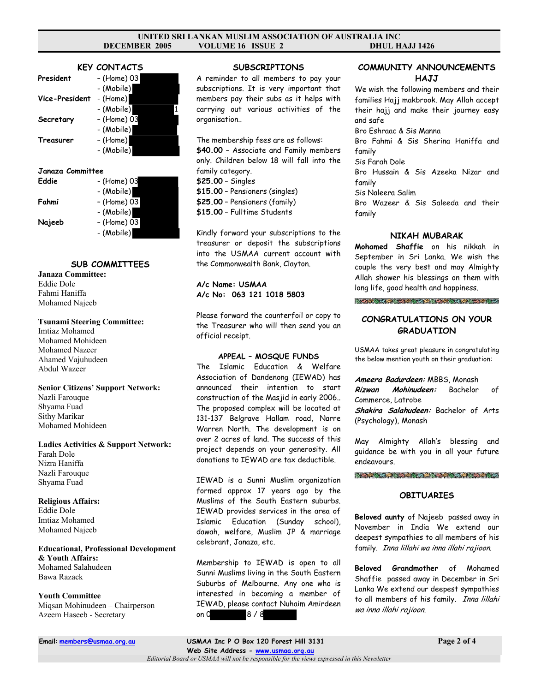#### **UNITED SRI LANKAN MUSLIM ASSOCIATION OF AUSTRALIA INC DECEMBER 2005 VOLUME 16 ISSUE 2 DHUL HAJJ 1426**

### **KEY CONTACTS**

| President      | - (Home) 03            |
|----------------|------------------------|
| Vice-President | - (Mobile)<br>- (Home) |
|                | - (Mobile)             |
| Secretary      | - (Home) 03            |
| Treasurer      | - (Mobile)<br>- (Home) |
|                | - (Mobile)             |

#### **Janaza Committee**

| Eddie  | - (Home) 03 |
|--------|-------------|
|        | - (Mobile)  |
| Fahmi  | - (Home) 03 |
|        | - (Mobile)  |
| Najeeb | - (Home) 03 |
|        | - (Mobile)  |

# **SUB COMMITTEES**

**Janaza Committee:**  Eddie Dole Fahmi Haniffa Mohamed Najeeb

#### **Tsunami Steering Committee:**

Imtiaz Mohamed Mohamed Mohideen Mohamed Nazeer Ahamed Vajuhudeen Abdul Wazeer

**Senior Citizens' Support Network:**  Nazli Farouque Shyama Fuad Sithy Marikar Mohamed Mohideen

**Ladies Activities & Support Network:**  Farah Dole Nizra Haniffa Nazli Farouque Shyama Fuad

**Religious Affairs:**  Eddie Dole Imtiaz Mohamed Mohamed Najeeb

#### **Educational, Professional Development & Youth Affairs:**

Mohamed Salahudeen Bawa Razack

### **Youth Committee**

Miqsan Mohinudeen – Chairperson Azeem Haseeb - Secretary

#### **SUBSCRIPTIONS**

A reminder to all members to pay your subscriptions. It is very important that members pay their subs as it helps with carrying out various activities of the organisation..

The membership fees are as follows: **\$40.00** – Associate and Family members only. Children below 18 will fall into the family category. **\$25.00** – Singles **\$15.00** – Pensioners (singles) **\$25.00** – Pensioners (family) **\$15.00** – Fulltime Students

Kindly forward your subscriptions to the treasurer or deposit the subscriptions into the USMAA current account with the Commonwealth Bank, Clayton.

### **A/c Name: USMAA A/c No: 063 121 1018 5803**

Please forward the counterfoil or copy to the Treasurer who will then send you an official receipt.

#### **APPEAL – MOSQUE FUNDS**

The Islamic Education & Welfare Association of Dandenong (IEWAD) has announced their intention to start construction of the Masjid in early 2006.. The proposed complex will be located at 131-137 Belgrave Hallam road, Narre Warren North. The development is on over 2 acres of land. The success of this project depends on your generosity. All donations to IEWAD are tax deductible.

IEWAD is a Sunni Muslim organization formed approx 17 years ago by the Muslims of the South Eastern suburbs. IEWAD provides services in the area of Islamic Education (Sunday school), dawah, welfare, Muslim JP & marriage celebrant, Janaza, etc.

Membership to IEWAD is open to all Sunni Muslims living in the South Eastern Suburbs of Melbourne. Any one who is interested in becoming a member of IEWAD, please contact Nuhaim Amirdeen on 0 8 / 8

## **COMMUNITY ANNOUNCEMENTS HAJJ**

We wish the following members and their families Hajj makbrook. May Allah accept their hajj and make their journey easy and safe

Bro Eshraac & Sis Manna

Bro Fahmi & Sis Sherina Haniffa and family

Sis Farah Dole

Bro Hussain & Sis Azeeka Nizar and family

Sis Naleera Salim

Bro Wazeer & Sis Saleeda and their family

### **NIKAH MUBARAK**

**Mohamed Shaffie** on his nikkah in September in Sri Lanka. We wish the couple the very best and may Almighty Allah shower his blessings on them with long life, good health and happiness.

**CARD AREA MARINE CONTRACT CONTRACT AND AREA** 

### **CONGRATULATIONS ON YOUR GRADUATION**

USMAA takes great pleasure in congratulating the below mention youth on their graduation:

#### **Ameera Badurdeen:** MBBS, Monash

**Rizwan Mohinudeen:** Bachelor of Commerce, Latrobe **Shakira Salahudeen:** Bachelor of Arts (Psychology), Monash

May Almighty Allah's blessing and guidance be with you in all your future endeavours.

#### **Contract of the Contract of State of State Office**

#### **OBITUARIES**

**Beloved aunty** of Najeeb passed away in November in India We extend our deepest sympathies to all members of his family. Inna lillahi wa inna illahi rajioon.

**Beloved Grandmother** of Mohamed Shaffie passed away in December in Sri Lanka We extend our deepest sympathies to all members of his family. Inna lillahi wa inna illahi rajioon.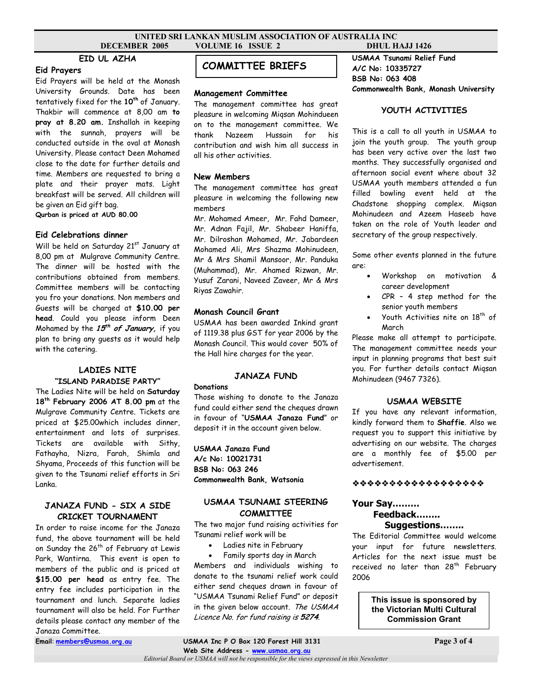#### **UNITED SRI LANKAN MUSLIM ASSOCIATION OF AUSTRALIA INC DECEMBER 2005 VOLUME 16 ISSUE 2 DHUL HAJJ 1426**

## **EID UL AZHA**

#### **Eid Prayers**

Eid Prayers will be held at the Monash University Grounds. Date has been tentatively fixed for the 10<sup>th</sup> of January. Thakbir will commence at 8,00 am **to pray at 8.20 am.** Inshallah in keeping with the sunnah, prayers will be conducted outside in the oval at Monash University. Please contact Deen Mohamed close to the date for further details and time. Members are requested to bring a plate and their prayer mats. Light breakfast will be served. All children will be given an Eid gift bag. **Qurban is priced at AUD 80.00** 

### **Eid Celebrations dinner**

Will be held on Saturday 21<sup>st</sup> January at 8,00 pm at Mulgrave Community Centre. The dinner will be hosted with the contributions obtained from members. Committee members will be contacting you fro your donations. Non members and Guests will be charged at **\$10.00 per head**. Could you please inform Deen Mohamed by the **15th of January,** if you plan to bring any guests as it would help with the catering.

### **LADIES NITE "ISLAND PARADISE PARTY"**

The Ladies Nite will be held on **Saturday 18th February 2006 AT 8.00 pm** at the Mulgrave Community Centre. Tickets are priced at \$25.00which includes dinner, entertainment and lots of surprises. Tickets are available with Sithy, Fathayha, Nizra, Farah, Shimla and Shyama, Proceeds of this function will be given to the Tsunami relief efforts in Sri Lanka.

### **JANAZA FUND - SIX A SIDE CRICKET TOURNAMENT**

In order to raise income for the Janaza fund, the above tournament will be held on Sunday the 26<sup>th</sup> of February at Lewis Park, Wantirna. This event is open to members of the public and is priced at **\$15.00 per head** as entry fee. The entry fee includes participation in the tournament and lunch. Separate ladies tournament will also be held. For Further details please contact any member of the Janaza Committee.

# **COMMITTEE BRIEFS**

#### **Management Committee**

The management committee has great pleasure in welcoming Miqsan Mohindueen on to the management committee. We thank Nazeem Hussain for his contribution and wish him all success in all his other activities.

### **New Members**

The management committee has great pleasure in welcoming the following new members

Mr. Mohamed Ameer, Mr. Fahd Dameer, Mr. Adnan Fajil, Mr. Shabeer Haniffa, Mr. Dilroshan Mohamed, Mr. Jabardeen Mohamed Ali, Mrs Shazma Mohinudeen, Mr & Mrs Shamil Mansoor, Mr. Panduka (Muhammad), Mr. Ahamed Rizwan, Mr. Yusuf Zarani, Naveed Zaveer, Mr & Mrs Riyas Zawahir.

### **Monash Council Grant**

USMAA has been awarded Inkind grant of 1119.38 plus GST for year 2006 by the Monash Council. This would cover 50% of the Hall hire charges for the year.

### **JANAZA FUND**

#### **Donations**

Those wishing to donate to the Janaza fund could either send the cheques drawn in favour of "**USMAA Janaza Fund**" or deposit it in the account given below.

**USMAA Janaza Fund A/c No: 10021731 BSB No: 063 246 Commonwealth Bank, Watsonia** 

### **USMAA TSUNAMI STEERING COMMITTEE**

The two major fund raising activities for Tsunami relief work will be

• Ladies nite in February

• Family sports day in March Members and individuals wishing to donate to the tsunami relief work could either send cheques drawn in favour of "USMAA Tsunami Relief Fund" or deposit in the given below account. The USMAA Licence No. for fund raising is **5274**.

**USMAA Tsunami Relief Fund A/C No: 10335727 BSB No: 063 408 Commonwealth Bank, Monash University** 

### **YOUTH ACTIVITIES**

This is a call to all youth in USMAA to join the youth group. The youth group has been very active over the last two months. They successfully organised and afternoon social event where about 32 USMAA youth members attended a fun filled bowling event held at the Chadstone shopping complex. Miqsan Mohinudeen and Azeem Haseeb have taken on the role of Youth leader and secretary of the group respectively.

Some other events planned in the future are:

- Workshop on motivation & career development
- CPR 4 step method for the senior youth members
- Youth Activities nite on  $18<sup>th</sup>$  of March

Please make all attempt to participate. The management committee needs your input in planning programs that best suit you. For further details contact Miqsan Mohinudeen (9467 7326).

#### **USMAA WEBSITE**

If you have any relevant information, kindly forward them to **Shaffie**. Also we request you to support this initiative by advertising on our website. The charges are a monthly fee of \$5.00 per advertisement.

### \*\*\*\*\*\*\*\*\*\*\*\*\*\*\*\*\*\*

#### **Your Say………**

# **Feedback……..**

# **Suggestions……..**

The Editorial Committee would welcome your input for future newsletters. Articles for the next issue must be received no later than 28<sup>th</sup> February 2006

> **This issue is sponsored by the Victorian Multi Cultural Commission Grant**